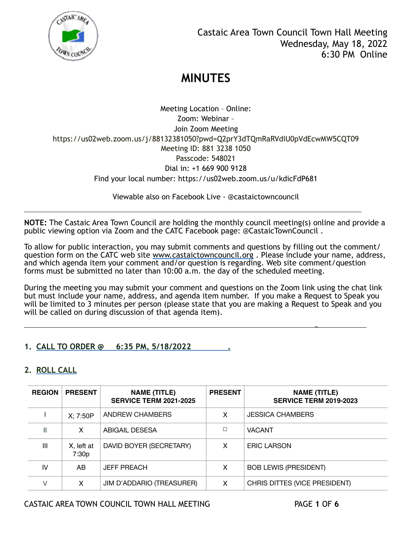

Meeting Location – Online: Zoom: Webinar – Join Zoom Meeting https://us02web.zoom.us/j/88132381050?pwd=Q2prY3dTQmRaRVdIU0pVdEcwMW5CQT09 Meeting ID: 881 3238 1050 Passcode: 548021 Dial in: +1 669 900 9128 Find your local number: https://us02web.zoom.us/u/kdicFdP681

Viewable also on Facebook Live - @castaictowncouncil

**NOTE:** The Castaic Area Town Council are holding the monthly council meeting(s) online and provide a public viewing option via Zoom and the CATC Facebook page: @CastaicTownCouncil .

To allow for public interaction, you may submit comments and questions by filling out the comment/ question form on the CATC web site [www.castaictowncouncil.org](http://www.castaictowncouncil.org) . Please include your name, address, and which agenda item your comment and/or question is regarding. Web site comment/question forms must be submitted no later than 10:00 a.m. the day of the scheduled meeting.

During the meeting you may submit your comment and questions on the Zoom link using the chat link but must include your name, address, and agenda item number. If you make a Request to Speak you will be limited to 3 minutes per person (please state that you are making a Request to Speak and you will be called on during discussion of that agenda item).

you are also assumed to the contract of the contract of the contract of the contract of the contract of the contract of the contract of the contract of the contract of the contract of the contract of the contract of the co

### **1. CALL TO ORDER @ 6:35 PM, 5/18/2022 .**

### **2. ROLL CALL**

l

| <b>REGION</b> | <b>PRESENT</b>      | <b>NAME (TITLE)</b><br><b>SERVICE TERM 2021-2025</b> | <b>PRESENT</b> | <b>NAME (TITLE)</b><br><b>SERVICE TERM 2019-2023</b> |
|---------------|---------------------|------------------------------------------------------|----------------|------------------------------------------------------|
|               | X: 7:50P            | ANDREW CHAMBERS                                      | x              | <b>JESSICA CHAMBERS</b>                              |
| Ш             | X                   | ABIGAIL DESESA                                       | П              | <b>VACANT</b>                                        |
| Ш             | X, left at<br>7:30p | DAVID BOYER (SECRETARY)                              | x              | <b>ERIC LARSON</b>                                   |
| IV            | AB.                 | <b>JEFF PREACH</b>                                   | X              | <b>BOB LEWIS (PRESIDENT)</b>                         |
|               | X                   | JIM D'ADDARIO (TREASURER)                            | x              | CHRIS DITTES (VICE PRESIDENT)                        |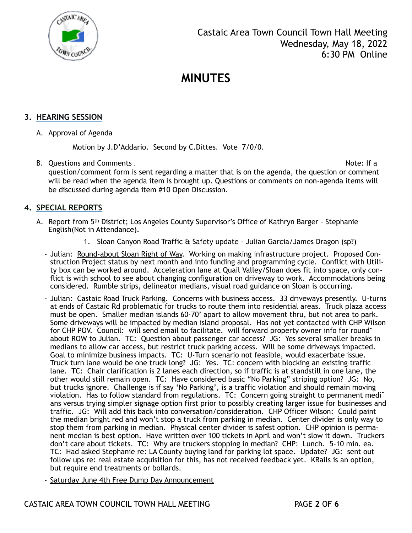

#### **3. HEARING SESSION**

A. Approval of Agenda

Motion by J.D'Addario. Second by C.Dittes. Vote 7/0/0.

B. Questions and Comments . Note: If a question/comment form is sent regarding a matter that is on the agenda, the question or comment will be read when the agenda item is brought up. Questions or comments on non-agenda items will be discussed during agenda item #10 Open Discussion.

### **4. SPECIAL REPORTS**

- A. Report from 5th District; Los Angeles County Supervisor's Office of Kathryn Barger Stephanie English(Not in Attendance).
	- 1. Sloan Canyon Road Traffic & Safety update Julian Garcia/James Dragon (sp?)
	- Julian: Round-about Sloan Right of Way. Working on making infrastructure project. Proposed Construction Project status by next month and into funding and programming cycle. Conflict with Utility box can be worked around. Acceleration lane at Quail Valley/Sloan does fit into space, only conflict is with school to see about changing configuration on driveway to work. Accommodations being considered. Rumble strips, delineator medians, visual road guidance on Sloan is occurring.
	- Julian: Castaic Road Truck Parking. Concerns with business access. 33 driveways presently. U-turns at ends of Castaic Rd problematic for trucks to route them into residential areas. Truck plaza access must be open. Smaller median islands 60-70' apart to allow movement thru, but not area to park. Some driveways will be impacted by median island proposal. Has not yet contacted with CHP Wilson for CHP POV. Council: will send email to facilitate. will forward property owner info for round<sup>-</sup> about ROW to Julian. TC: Question about passenger car access? JG: Yes several smaller breaks in medians to allow car access, but restrict truck parking access. Will be some driveways impacted. Goal to minimize business impacts. TC: U-Turn scenario not feasible, would exacerbate issue. Truck turn lane would be one truck long? JG: Yes. TC: concern with blocking an existing traffic lane. TC: Chair clarification is 2 lanes each direction, so if traffic is at standstill in one lane, the other would still remain open. TC: Have considered basic "No Parking" striping option? JG: No, but trucks ignore. Challenge is if say 'No Parking', is a traffic violation and should remain moving violation. Has to follow standard from regulations. TC: Concern going straight to permanent medians versus trying simpler signage option first prior to possibly creating larger issue for businesses and traffic. JG: Will add this back into conversation/consideration. CHP Officer Wilson: Could paint the median bright red and won't stop a truck from parking in median. Center divider is only way to stop them from parking in median. Physical center divider is safest option. CHP opinion is permanent median is best option. Have written over 100 tickets in April and won't slow it down. Truckers don't care about tickets. TC: Why are truckers stopping in median? CHP: Lunch. 5-10 min. ea. TC: Had asked Stephanie re: LA County buying land for parking lot space. Update? JG: sent out follow ups re: real estate acquisition for this, has not received feedback yet. KRails is an option, but require end treatments or bollards.
	- Saturday June 4th Free Dump Day Announcement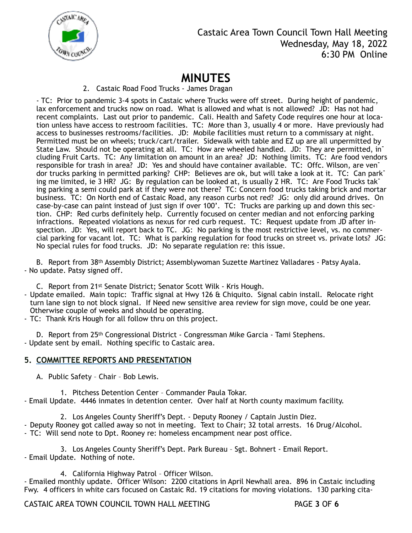

### Castaic Area Town Council Town Hall Meeting Wednesday, May 18, 2022 6:30 PM Online

## **MINUTES**

#### 2. Castaic Road Food Trucks - James Dragan

- TC: Prior to pandemic 3-4 spots in Castaic where Trucks were off street. During height of pandemic, lax enforcement and trucks now on road. What is allowed and what is not allowed? JD: Has not had recent complaints. Last out prior to pandemic. Cali. Health and Safety Code requires one hour at location unless have access to restroom facilities. TC: More than 3, usually 4 or more. Have previously had access to businesses restrooms/facilities. JD: Mobile facilities must return to a commissary at night. Permitted must be on wheels; truck/cart/trailer. Sidewalk with table and EZ up are all unpermitted by State Law. Should not be operating at all. TC: How are wheeled handled. JD: They are permitted, in<sup>-</sup> cluding Fruit Carts. TC: Any limitation on amount in an area? JD: Nothing limits. TC: Are food vendors responsible for trash in area? JD: Yes and should have container available. TC: Offc. Wilson, are vendor trucks parking in permitted parking? CHP: Believes are ok, but will take a look at it. TC: Can parking me limited, ie 3 HR? JG: By regulation can be looked at, is usually 2 HR. TC: Are Food Trucks tak<sup>-</sup> ing parking a semi could park at if they were not there? TC: Concern food trucks taking brick and mortar business. TC: On North end of Castaic Road, any reason curbs not red? JG: only did around drives. On case-by-case can paint instead of just sign if over 100'. TC: Trucks are parking up and down this section. CHP: Red curbs definitely help. Currently focused on center median and not enforcing parking infractions. Repeated violations as nexus for red curb request. TC: Request update from JD after inspection. JD: Yes, will report back to TC. JG: No parking is the most restrictive level, vs. no commercial parking for vacant lot. TC: What is parking regulation for food trucks on street vs. private lots? JG: No special rules for food trucks. JD: No separate regulation re: this issue.

B. Report from 38th Assembly District; Assemblywoman Suzette Martinez Valladares - Patsy Ayala. - No update. Patsy signed off.

C. Report from 21st Senate District; Senator Scott Wilk - Kris Hough.

- Update emailed. Main topic: Traffic signal at Hwy 126 & Chiquito. Signal cabin install. Relocate right turn lane sign to not block signal. If Need new sensitive area review for sign move, could be one year. Otherwise couple of weeks and should be operating.

- TC: Thank Kris Hough for all follow thru on this project.

D. Report from 25th Congressional District - Congressman Mike Garcia - Tami Stephens. - Update sent by email. Nothing specific to Castaic area.

#### **5. COMMITTEE REPORTS AND PRESENTATION**

A. Public Safety – Chair – Bob Lewis.

1. Pitchess Detention Center – Commander Paula Tokar. - Email Update. 4446 inmates in detention center. Over half at North county maximum facility.

2. Los Angeles County Sheriff's Dept. - Deputy Rooney / Captain Justin Diez. - Deputy Rooney got called away so not in meeting. Text to Chair; 32 total arrests. 16 Drug/Alcohol.

- TC: Will send note to Dpt. Rooney re: homeless encampment near post office.

3. Los Angeles County Sheriff's Dept. Park Bureau – Sgt. Bohnert - Email Report. - Email Update. Nothing of note.

4. California Highway Patrol – Officer Wilson.

- Emailed monthly update. Officer Wilson: 2200 citations in April Newhall area. 896 in Castaic including Fwy. 4 officers in white cars focused on Castaic Rd. 19 citations for moving violations. 130 parking cita-

CASTAIC AREA TOWN COUNCIL TOWN HALL MEETING PAGE **3** OF **6**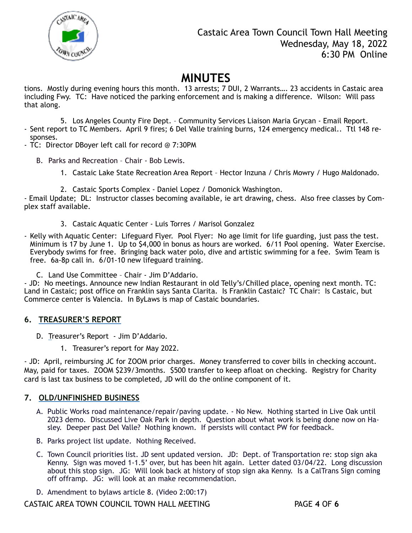

tions. Mostly during evening hours this month. 13 arrests; 7 DUI, 2 Warrants…. 23 accidents in Castaic area including Fwy. TC: Have noticed the parking enforcement and is making a difference. Wilson: Will pass that along.

5. Los Angeles County Fire Dept. – Community Services Liaison Maria Grycan - Email Report. - Sent report to TC Members. April 9 fires; 6 Del Valle training burns, 124 emergency medical.. Ttl 148 responses.

- TC: Director DBoyer left call for record @ 7:30PM
	- B. Parks and Recreation Chair Bob Lewis.
		- 1. Castaic Lake State Recreation Area Report Hector Inzuna / Chris Mowry / Hugo Maldonado.
		- 2. Castaic Sports Complex Daniel Lopez / Domonick Washington.

- Email Update; DL: Instructor classes becoming available, ie art drawing, chess. Also free classes by Complex staff available.

- 3. Castaic Aquatic Center Luis Torres / Marisol Gonzalez
- Kelly with Aquatic Center: Lifeguard Flyer. Pool Flyer: No age limit for life guarding, just pass the test. Minimum is 17 by June 1. Up to \$4,000 in bonus as hours are worked. 6/11 Pool opening. Water Exercise. Everybody swims for free. Bringing back water polo, dive and artistic swimming for a fee. Swim Team is free. 6a-8p call in. 6/01-10 new lifeguard training.
	- C. Land Use Committee Chair Jim D'Addario.

- JD: No meetings. Announce new Indian Restaurant in old Telly's/Chilled place, opening next month. TC: Land in Castaic; post office on Franklin says Santa Clarita. Is Franklin Castaic? TC Chair: Is Castaic, but Commerce center is Valencia. In ByLaws is map of Castaic boundaries.

#### **6. TREASURER'S REPORT**

- D. Treasurer's Report Jim D'Addario.
	- 1. Treasurer's report for May 2022.

- JD: April, reimbursing JC for ZOOM prior charges. Money transferred to cover bills in checking account. May, paid for taxes. ZOOM \$239/3months. \$500 transfer to keep afloat on checking. Registry for Charity card is last tax business to be completed, JD will do the online component of it.

#### **7. OLD/UNFINISHED BUSINESS**

- A. Public Works road maintenance/repair/paving update. No New. Nothing started in Live Oak until 2023 demo. Discussed Live Oak Park in depth. Question about what work is being done now on Hasley. Deeper past Del Valle? Nothing known. If persists will contact PW for feedback.
- B. Parks project list update. Nothing Received.
- C. Town Council priorities list. JD sent updated version. JD: Dept. of Transportation re: stop sign aka Kenny. Sign was moved 1-1.5' over, but has been hit again. Letter dated 03/04/22. Long discussion about this stop sign. JG: Will look back at history of stop sign aka Kenny. Is a CalTrans Sign coming off offramp. JG: will look at an make recommendation.
- D. Amendment to bylaws article 8. (Video 2:00:17)

CASTAIC AREA TOWN COUNCIL TOWN HALL MEETING PAGE **4** OF **6**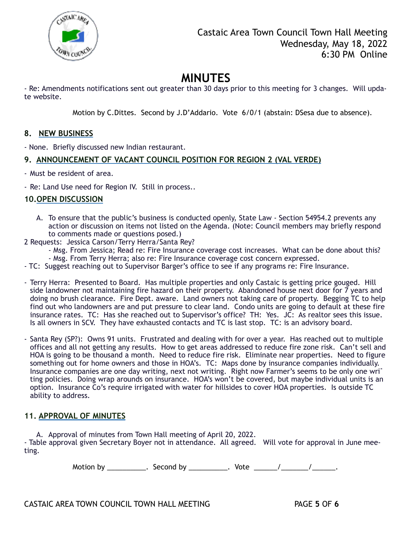

- Re: Amendments notifications sent out greater than 30 days prior to this meeting for 3 changes. Will update website.

Motion by C.Dittes. Second by J.D'Addario. Vote 6/0/1 (abstain: DSesa due to absence).

#### **8. NEW BUSINESS**

- None. Briefly discussed new Indian restaurant.

#### **9. ANNOUNCEMENT OF VACANT COUNCIL POSITION FOR REGION 2 (VAL VERDE)**

- Must be resident of area.
- Re: Land Use need for Region IV. Still in process..

#### **10.OPEN DISCUSSION**

- A. To ensure that the public's business is conducted openly, State Law Section 54954.2 prevents any action or discussion on items not listed on the Agenda. (Note: Council members may briefly respond to comments made or questions posed.)
- 2 Requests: Jessica Carson/Terry Herra/Santa Rey?
	- Msg. From Jessica; Read re: Fire Insurance coverage cost increases. What can be done about this? - Msg. From Terry Herra; also re: Fire Insurance coverage cost concern expressed.
- TC: Suggest reaching out to Supervisor Barger's office to see if any programs re: Fire Insurance.
- Terry Herra: Presented to Board. Has multiple properties and only Castaic is getting price gouged. Hill side landowner not maintaining fire hazard on their property. Abandoned house next door for 7 years and doing no brush clearance. Fire Dept. aware. Land owners not taking care of property. Begging TC to help find out who landowners are and put pressure to clear land. Condo units are going to default at these fire insurance rates. TC: Has she reached out to Supervisor's office? TH: Yes. JC: As realtor sees this issue. Is all owners in SCV. They have exhausted contacts and TC is last stop. TC: is an advisory board.
- Santa Rey (SP?): Owns 91 units. Frustrated and dealing with for over a year. Has reached out to multiple offices and all not getting any results. How to get areas addressed to reduce fire zone risk. Can't sell and HOA is going to be thousand a month. Need to reduce fire risk. Eliminate near properties. Need to figure something out for home owners and those in HOA's. TC: Maps done by insurance companies individually. Insurance companies are one day writing, next not writing. Right now Farmer's seems to be only one wri<sup>-</sup> ting policies. Doing wrap arounds on insurance. HOA's won't be covered, but maybe individual units is an option. Insurance Co's require irrigated with water for hillsides to cover HOA properties. Is outside TC ability to address.

### **11. APPROVAL OF MINUTES**

A. Approval of minutes from Town Hall meeting of April 20, 2022.

- Table approval given Secretary Boyer not in attendance. All agreed. Will vote for approval in June meeting.

Motion by \_\_\_\_\_\_\_\_\_\_. Second by \_\_\_\_\_\_\_\_\_\_. Vote \_\_\_\_\_\_\_/ \_\_\_\_\_\_\_\_\_\_\_\_.